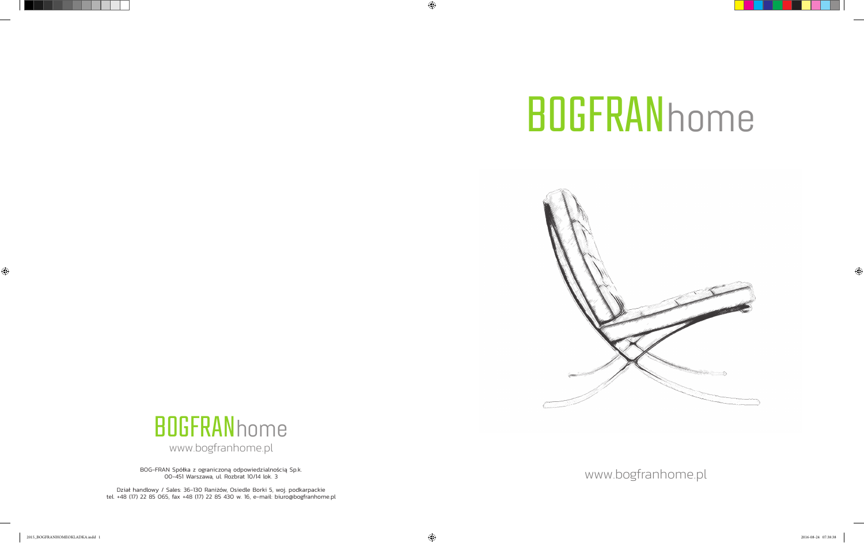





BOG-FRAN Spółka z ograniczoną odpowiedzialnością Sp.k. 00-451 Warszawa, ul. Rozbrat 10/14 lok. 3

Dział handlowy / Sales: 36-130 Raniżów, Osiedle Borki 5, woj. podkarpackie tel. +48 (17) 22 85 065, fax +48 (17) 22 85 430 w. 16, e-mail: biuro@bogfranhome.pl

www.bogfranhome.pl

 $\bigcirc$ 

 $\bigoplus$ 

 $\bigoplus$ 



## **BOGFRANhome**